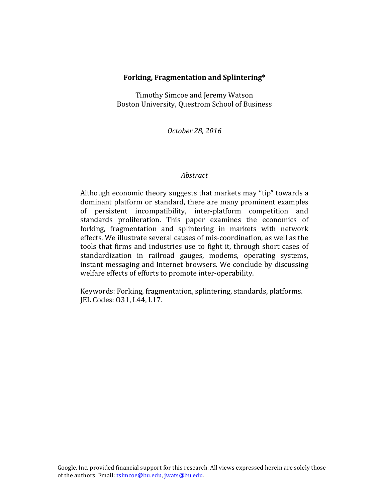#### **Forking, Fragmentation and Splintering\***

Timothy Simcoe and Jeremy Watson Boston University, Questrom School of Business

*October 28, 2016*

#### *Abstract*

Although economic theory suggests that markets may "tip" towards a dominant platform or standard, there are many prominent examples of persistent incompatibility, inter-platform competition and standards proliferation. This paper examines the economics of forking, fragmentation and splintering in markets with network effects. We illustrate several causes of mis-coordination, as well as the tools that firms and industries use to fight it, through short cases of standardization in railroad gauges, modems, operating systems, instant messaging and Internet browsers. We conclude by discussing welfare effects of efforts to promote inter-operability.

Keywords: Forking, fragmentation, splintering, standards, platforms. JEL Codes: 031, L44, L17.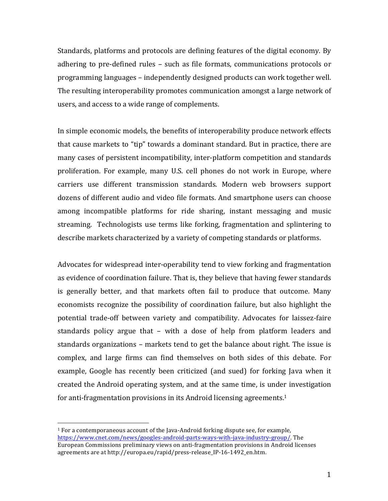Standards, platforms and protocols are defining features of the digital economy. By adhering to pre-defined rules – such as file formats, communications protocols or programming languages – independently designed products can work together well. The resulting interoperability promotes communication amongst a large network of users, and access to a wide range of complements.

In simple economic models, the benefits of interoperability produce network effects that cause markets to "tip" towards a dominant standard. But in practice, there are many cases of persistent incompatibility, inter-platform competition and standards proliferation. For example, many U.S. cell phones do not work in Europe, where carriers use different transmission standards. Modern web browsers support dozens of different audio and video file formats. And smartphone users can choose among incompatible platforms for ride sharing, instant messaging and music streaming. Technologists use terms like forking, fragmentation and splintering to describe markets characterized by a variety of competing standards or platforms.

Advocates for widespread inter-operability tend to view forking and fragmentation as evidence of coordination failure. That is, they believe that having fewer standards is generally better, and that markets often fail to produce that outcome. Many economists recognize the possibility of coordination failure, but also highlight the potential trade-off between variety and compatibility. Advocates for laissez-faire standards policy argue that  $-$  with a dose of help from platform leaders and standards organizations – markets tend to get the balance about right. The issue is complex, and large firms can find themselves on both sides of this debate. For example, Google has recently been criticized (and sued) for forking Java when it created the Android operating system, and at the same time, is under investigation for anti-fragmentation provisions in its Android licensing agreements.<sup>1</sup>

 $1$  For a contemporaneous account of the Java-Android forking dispute see, for example, https://www.cnet.com/news/googles-android-parts-ways-with-java-industry-group/. The European Commissions preliminary views on anti-fragmentation provisions in Android licenses agreements are at http://europa.eu/rapid/press-release\_IP-16-1492\_en.htm.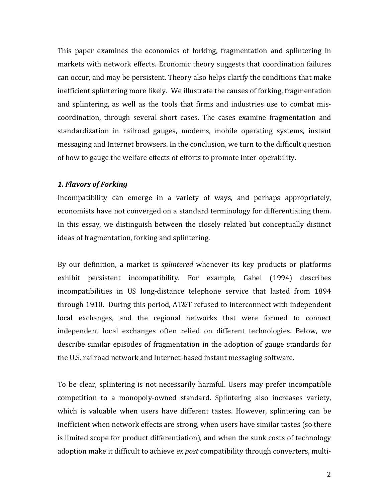This paper examines the economics of forking, fragmentation and splintering in markets with network effects. Economic theory suggests that coordination failures can occur, and may be persistent. Theory also helps clarify the conditions that make inefficient splintering more likely. We illustrate the causes of forking, fragmentation and splintering, as well as the tools that firms and industries use to combat miscoordination, through several short cases. The cases examine fragmentation and standardization in railroad gauges, modems, mobile operating systems, instant messaging and Internet browsers. In the conclusion, we turn to the difficult question of how to gauge the welfare effects of efforts to promote inter-operability.

## *1. Flavors of Forking*

Incompatibility can emerge in a variety of ways, and perhaps appropriately, economists have not converged on a standard terminology for differentiating them. In this essay, we distinguish between the closely related but conceptually distinct ideas of fragmentation, forking and splintering.

By our definition, a market is *splintered* whenever its key products or platforms exhibit persistent incompatibility. For example, Gabel (1994) describes incompatibilities in US long-distance telephone service that lasted from 1894 through 1910. During this period, AT&T refused to interconnect with independent local exchanges, and the regional networks that were formed to connect independent local exchanges often relied on different technologies. Below, we describe similar episodes of fragmentation in the adoption of gauge standards for the U.S. railroad network and Internet-based instant messaging software.

To be clear, splintering is not necessarily harmful. Users may prefer incompatible competition to a monopoly-owned standard. Splintering also increases variety, which is valuable when users have different tastes. However, splintering can be inefficient when network effects are strong, when users have similar tastes (so there is limited scope for product differentiation), and when the sunk costs of technology adoption make it difficult to achieve *ex post* compatibility through converters, multi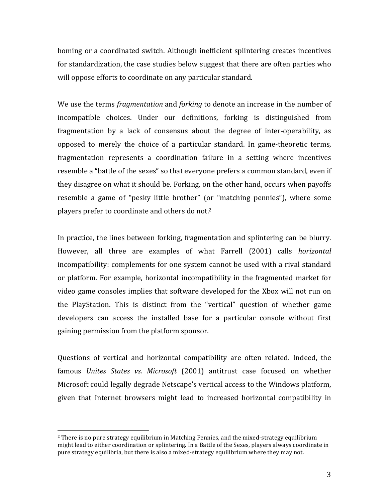homing or a coordinated switch. Although inefficient splintering creates incentives for standardization, the case studies below suggest that there are often parties who will oppose efforts to coordinate on any particular standard.

We use the terms *fragmentation* and *forking* to denote an increase in the number of incompatible choices. Under our definitions, forking is distinguished from fragmentation by a lack of consensus about the degree of inter-operability, as opposed to merely the choice of a particular standard. In game-theoretic terms, fragmentation represents a coordination failure in a setting where incentives resemble a "battle of the sexes" so that everyone prefers a common standard, even if they disagree on what it should be. Forking, on the other hand, occurs when payoffs resemble a game of "pesky little brother" (or "matching pennies"), where some players prefer to coordinate and others do not.<sup>2</sup>

In practice, the lines between forking, fragmentation and splintering can be blurry. However, all three are examples of what Farrell (2001) calls *horizontal* incompatibility: complements for one system cannot be used with a rival standard or platform. For example, horizontal incompatibility in the fragmented market for video game consoles implies that software developed for the Xbox will not run on the PlayStation. This is distinct from the "vertical" question of whether game developers can access the installed base for a particular console without first gaining permission from the platform sponsor.

Questions of vertical and horizontal compatibility are often related. Indeed, the famous *Unites States vs. Microsoft* (2001) antitrust case focused on whether Microsoft could legally degrade Netscape's vertical access to the Windows platform, given that Internet browsers might lead to increased horizontal compatibility in

 $2$  There is no pure strategy equilibrium in Matching Pennies, and the mixed-strategy equilibrium might lead to either coordination or splintering. In a Battle of the Sexes, players always coordinate in pure strategy equilibria, but there is also a mixed-strategy equilibrium where they may not.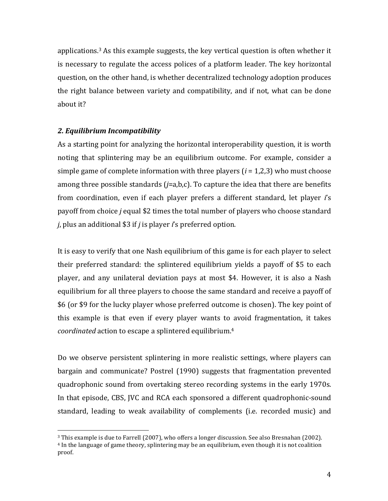applications.<sup>3</sup> As this example suggests, the key vertical question is often whether it is necessary to regulate the access polices of a platform leader. The key horizontal question, on the other hand, is whether decentralized technology adoption produces the right balance between variety and compatibility, and if not, what can be done about it?

#### *2. Equilibrium Incompatibility*

 

As a starting point for analyzing the horizontal interoperability question, it is worth noting that splintering may be an equilibrium outcome. For example, consider a simple game of complete information with three players  $(i = 1,2,3)$  who must choose among three possible standards  $(j=a,b,c)$ . To capture the idea that there are benefits from coordination, even if each player prefers a different standard, let player *i's* payoff from choice *j* equal \$2 times the total number of players who choose standard *j*, plus an additional \$3 if *j* is player *i*'s preferred option.

It is easy to verify that one Nash equilibrium of this game is for each player to select their preferred standard: the splintered equilibrium yields a payoff of \$5 to each player, and any unilateral deviation pays at most \$4. However, it is also a Nash equilibrium for all three players to choose the same standard and receive a payoff of \$6 (or \$9 for the lucky player whose preferred outcome is chosen). The key point of this example is that even if every player wants to avoid fragmentation, it takes coordinated action to escape a splintered equilibrium.<sup>4</sup>

Do we observe persistent splintering in more realistic settings, where players can bargain and communicate? Postrel (1990) suggests that fragmentation prevented quadrophonic sound from overtaking stereo recording systems in the early 1970s. In that episode, CBS, JVC and RCA each sponsored a different quadrophonic-sound standard, leading to weak availability of complements (i.e. recorded music) and

<sup>&</sup>lt;sup>3</sup> This example is due to Farrell (2007), who offers a longer discussion. See also Bresnahan (2002).

 $4$  In the language of game theory, splintering may be an equilibrium, even though it is not coalition proof.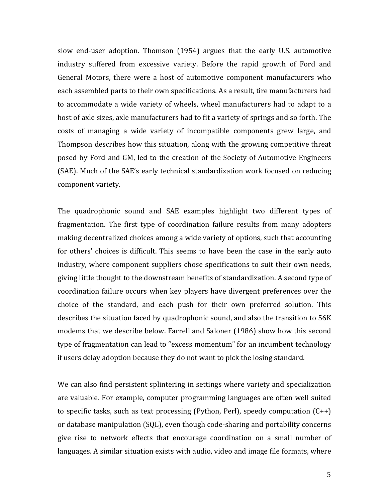slow end-user adoption. Thomson (1954) argues that the early U.S. automotive industry suffered from excessive variety. Before the rapid growth of Ford and General Motors, there were a host of automotive component manufacturers who each assembled parts to their own specifications. As a result, tire manufacturers had to accommodate a wide variety of wheels, wheel manufacturers had to adapt to a host of axle sizes, axle manufacturers had to fit a variety of springs and so forth. The costs of managing a wide variety of incompatible components grew large, and Thompson describes how this situation, along with the growing competitive threat posed by Ford and GM, led to the creation of the Society of Automotive Engineers (SAE). Much of the SAE's early technical standardization work focused on reducing component variety.

The quadrophonic sound and SAE examples highlight two different types of fragmentation. The first type of coordination failure results from many adopters making decentralized choices among a wide variety of options, such that accounting for others' choices is difficult. This seems to have been the case in the early auto industry, where component suppliers chose specifications to suit their own needs, giving little thought to the downstream benefits of standardization. A second type of coordination failure occurs when key players have divergent preferences over the choice of the standard, and each push for their own preferred solution. This describes the situation faced by quadrophonic sound, and also the transition to 56K modems that we describe below. Farrell and Saloner (1986) show how this second type of fragmentation can lead to "excess momentum" for an incumbent technology if users delay adoption because they do not want to pick the losing standard.

We can also find persistent splintering in settings where variety and specialization are valuable. For example, computer programming languages are often well suited to specific tasks, such as text processing (Python, Perl), speedy computation  $(C^{++})$ or database manipulation (SQL), even though code-sharing and portability concerns give rise to network effects that encourage coordination on a small number of languages. A similar situation exists with audio, video and image file formats, where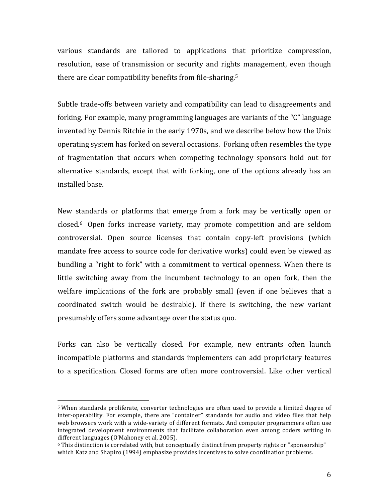various standards are tailored to applications that prioritize compression, resolution, ease of transmission or security and rights management, even though there are clear compatibility benefits from file-sharing.<sup>5</sup>

Subtle trade-offs between variety and compatibility can lead to disagreements and forking. For example, many programming languages are variants of the "C" language invented by Dennis Ritchie in the early 1970s, and we describe below how the Unix operating system has forked on several occasions. Forking often resembles the type of fragmentation that occurs when competing technology sponsors hold out for alternative standards, except that with forking, one of the options already has an installed base.

New standards or platforms that emerge from a fork may be vertically open or closed.<sup>6</sup> Open forks increase variety, may promote competition and are seldom controversial. Open source licenses that contain copy-left provisions (which mandate free access to source code for derivative works) could even be viewed as bundling a "right to fork" with a commitment to vertical openness. When there is little switching away from the incumbent technology to an open fork, then the welfare implications of the fork are probably small (even if one believes that a coordinated switch would be desirable). If there is switching, the new variant presumably offers some advantage over the status quo.

Forks can also be vertically closed. For example, new entrants often launch incompatible platforms and standards implementers can add proprietary features to a specification. Closed forms are often more controversial. Like other vertical

<sup>&</sup>lt;sup>5</sup> When standards proliferate, converter technologies are often used to provide a limited degree of inter-operability. For example, there are "container" standards for audio and video files that help web browsers work with a wide-variety of different formats. And computer programmers often use integrated development environments that facilitate collaboration even among coders writing in different languages (O'Mahoney et al, 2005).

 $6$  This distinction is correlated with, but conceptually distinct from property rights or "sponsorship" which Katz and Shapiro (1994) emphasize provides incentives to solve coordination problems.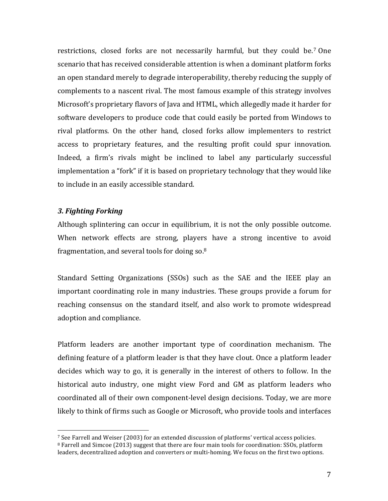restrictions, closed forks are not necessarily harmful, but they could be.<sup>7</sup> One scenario that has received considerable attention is when a dominant platform forks an open standard merely to degrade interoperability, thereby reducing the supply of complements to a nascent rival. The most famous example of this strategy involves Microsoft's proprietary flavors of Java and HTML, which allegedly made it harder for software developers to produce code that could easily be ported from Windows to rival platforms. On the other hand, closed forks allow implementers to restrict access to proprietary features, and the resulting profit could spur innovation. Indeed, a firm's rivals might be inclined to label any particularly successful implementation a "fork" if it is based on proprietary technology that they would like to include in an easily accessible standard.

# *3. Fighting Forking*

Although splintering can occur in equilibrium, it is not the only possible outcome. When network effects are strong, players have a strong incentive to avoid fragmentation, and several tools for doing so. $8<sup>8</sup>$ 

Standard Setting Organizations (SSOs) such as the SAE and the IEEE play an important coordinating role in many industries. These groups provide a forum for reaching consensus on the standard itself, and also work to promote widespread adoption and compliance.

Platform leaders are another important type of coordination mechanism. The defining feature of a platform leader is that they have clout. Once a platform leader decides which way to go, it is generally in the interest of others to follow. In the historical auto industry, one might view Ford and GM as platform leaders who coordinated all of their own component-level design decisions. Today, we are more likely to think of firms such as Google or Microsoft, who provide tools and interfaces

 <sup>7</sup> See Farrell and Weiser (2003) for an extended discussion of platforms' vertical access policies. <sup>8</sup> Farrell and Simcoe (2013) suggest that there are four main tools for coordination: SSOs, platform leaders, decentralized adoption and converters or multi-homing. We focus on the first two options.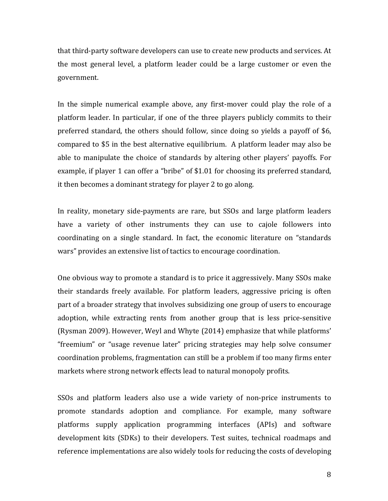that third-party software developers can use to create new products and services. At the most general level, a platform leader could be a large customer or even the government. 

In the simple numerical example above, any first-mover could play the role of a platform leader. In particular, if one of the three players publicly commits to their preferred standard, the others should follow, since doing so yields a payoff of \$6, compared to \$5 in the best alternative equilibrium. A platform leader may also be able to manipulate the choice of standards by altering other players' payoffs. For example, if player 1 can offer a "bribe" of \$1.01 for choosing its preferred standard, it then becomes a dominant strategy for player 2 to go along.

In reality, monetary side-payments are rare, but SSOs and large platform leaders have a variety of other instruments they can use to cajole followers into coordinating on a single standard. In fact, the economic literature on "standards" wars" provides an extensive list of tactics to encourage coordination.

One obvious way to promote a standard is to price it aggressively. Many SSOs make their standards freely available. For platform leaders, aggressive pricing is often part of a broader strategy that involves subsidizing one group of users to encourage adoption, while extracting rents from another group that is less price-sensitive (Rysman 2009). However, Weyl and Whyte (2014) emphasize that while platforms' "freemium" or "usage revenue later" pricing strategies may help solve consumer coordination problems, fragmentation can still be a problem if too many firms enter markets where strong network effects lead to natural monopoly profits.

SSOs and platform leaders also use a wide variety of non-price instruments to promote standards adoption and compliance. For example, many software platforms supply application programming interfaces (APIs) and software development kits (SDKs) to their developers. Test suites, technical roadmaps and reference implementations are also widely tools for reducing the costs of developing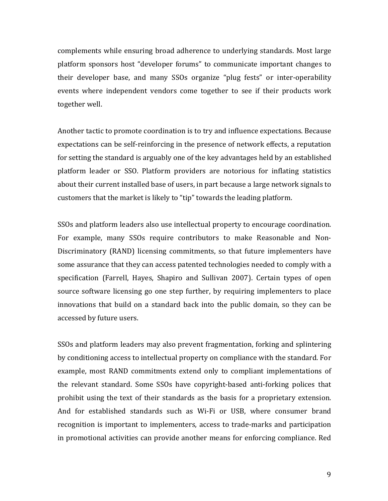complements while ensuring broad adherence to underlying standards. Most large platform sponsors host "developer forums" to communicate important changes to their developer base, and many SSOs organize "plug fests" or inter-operability events where independent vendors come together to see if their products work together well.

Another tactic to promote coordination is to try and influence expectations. Because expectations can be self-reinforcing in the presence of network effects, a reputation for setting the standard is arguably one of the key advantages held by an established platform leader or SSO. Platform providers are notorious for inflating statistics about their current installed base of users, in part because a large network signals to customers that the market is likely to "tip" towards the leading platform.

SSOs and platform leaders also use intellectual property to encourage coordination. For example, many SSOs require contributors to make Reasonable and Non-Discriminatory (RAND) licensing commitments, so that future implementers have some assurance that they can access patented technologies needed to comply with a specification (Farrell, Hayes, Shapiro and Sullivan 2007). Certain types of open source software licensing go one step further, by requiring implementers to place innovations that build on a standard back into the public domain, so they can be accessed by future users.

SSOs and platform leaders may also prevent fragmentation, forking and splintering by conditioning access to intellectual property on compliance with the standard. For example, most RAND commitments extend only to compliant implementations of the relevant standard. Some SSOs have copyright-based anti-forking polices that prohibit using the text of their standards as the basis for a proprietary extension. And for established standards such as Wi-Fi or USB, where consumer brand recognition is important to implementers, access to trade-marks and participation in promotional activities can provide another means for enforcing compliance. Red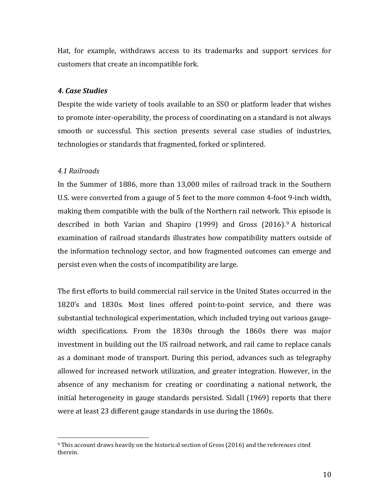Hat, for example, withdraws access to its trademarks and support services for customers that create an incompatible fork.

# *4. Case Studies*

Despite the wide variety of tools available to an SSO or platform leader that wishes to promote inter-operability, the process of coordinating on a standard is not always smooth or successful. This section presents several case studies of industries, technologies or standards that fragmented, forked or splintered.

# *4.1 Railroads*

In the Summer of 1886, more than 13,000 miles of railroad track in the Southern U.S. were converted from a gauge of 5 feet to the more common 4-foot 9-inch width, making them compatible with the bulk of the Northern rail network. This episode is described in both Varian and Shapiro  $(1999)$  and Gross  $(2016)$ .<sup>9</sup> A historical examination of railroad standards illustrates how compatibility matters outside of the information technology sector, and how fragmented outcomes can emerge and persist even when the costs of incompatibility are large.

The first efforts to build commercial rail service in the United States occurred in the 1820's and 1830s. Most lines offered point-to-point service, and there was substantial technological experimentation, which included trying out various gaugewidth specifications. From the 1830s through the 1860s there was major investment in building out the US railroad network, and rail came to replace canals as a dominant mode of transport. During this period, advances such as telegraphy allowed for increased network utilization, and greater integration. However, in the absence of any mechanism for creating or coordinating a national network, the initial heterogeneity in gauge standards persisted. Sidall (1969) reports that there were at least 23 different gauge standards in use during the 1860s.

  $9$  This account draws heavily on the historical section of Gross (2016) and the references cited therein.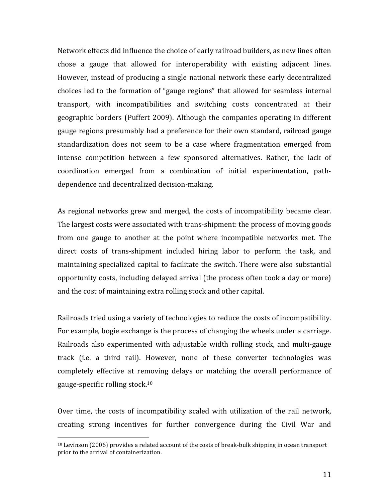Network effects did influence the choice of early railroad builders, as new lines often chose a gauge that allowed for interoperability with existing adjacent lines. However, instead of producing a single national network these early decentralized choices led to the formation of "gauge regions" that allowed for seamless internal transport, with incompatibilities and switching costs concentrated at their geographic borders (Puffert 2009). Although the companies operating in different gauge regions presumably had a preference for their own standard, railroad gauge standardization does not seem to be a case where fragmentation emerged from intense competition between a few sponsored alternatives. Rather, the lack of coordination emerged from a combination of initial experimentation, pathdependence and decentralized decision-making.

As regional networks grew and merged, the costs of incompatibility became clear. The largest costs were associated with trans-shipment: the process of moving goods from one gauge to another at the point where incompatible networks met. The direct costs of trans-shipment included hiring labor to perform the task, and maintaining specialized capital to facilitate the switch. There were also substantial opportunity costs, including delayed arrival (the process often took a day or more) and the cost of maintaining extra rolling stock and other capital.

Railroads tried using a variety of technologies to reduce the costs of incompatibility. For example, bogie exchange is the process of changing the wheels under a carriage. Railroads also experimented with adjustable width rolling stock, and multi-gauge track (i.e. a third rail). However, none of these converter technologies was completely effective at removing delays or matching the overall performance of gauge-specific rolling stock.<sup>10</sup>

Over time, the costs of incompatibility scaled with utilization of the rail network, creating strong incentives for further convergence during the Civil War and

 $10$  Levinson (2006) provides a related account of the costs of break-bulk shipping in ocean transport prior to the arrival of containerization.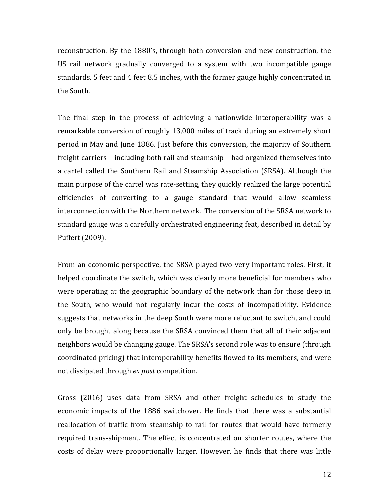reconstruction. By the 1880's, through both conversion and new construction, the US rail network gradually converged to a system with two incompatible gauge standards, 5 feet and 4 feet 8.5 inches, with the former gauge highly concentrated in the South.

The final step in the process of achieving a nationwide interoperability was a remarkable conversion of roughly 13,000 miles of track during an extremely short period in May and June 1886. Just before this conversion, the majority of Southern freight carriers – including both rail and steamship – had organized themselves into a cartel called the Southern Rail and Steamship Association (SRSA). Although the main purpose of the cartel was rate-setting, they quickly realized the large potential efficiencies of converting to a gauge standard that would allow seamless interconnection with the Northern network. The conversion of the SRSA network to standard gauge was a carefully orchestrated engineering feat, described in detail by Puffert (2009). 

From an economic perspective, the SRSA played two very important roles. First, it helped coordinate the switch, which was clearly more beneficial for members who were operating at the geographic boundary of the network than for those deep in the South, who would not regularly incur the costs of incompatibility. Evidence suggests that networks in the deep South were more reluctant to switch, and could only be brought along because the SRSA convinced them that all of their adjacent neighbors would be changing gauge. The SRSA's second role was to ensure (through coordinated pricing) that interoperability benefits flowed to its members, and were not dissipated through *ex post* competition. 

Gross (2016) uses data from SRSA and other freight schedules to study the economic impacts of the 1886 switchover. He finds that there was a substantial reallocation of traffic from steamship to rail for routes that would have formerly required trans-shipment. The effect is concentrated on shorter routes, where the costs of delay were proportionally larger. However, he finds that there was little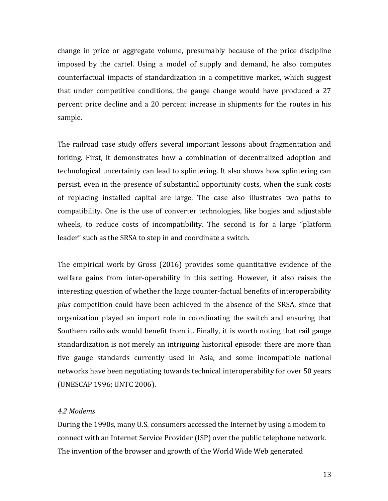change in price or aggregate volume, presumably because of the price discipline imposed by the cartel. Using a model of supply and demand, he also computes counterfactual impacts of standardization in a competitive market, which suggest that under competitive conditions, the gauge change would have produced a  $27$ percent price decline and a 20 percent increase in shipments for the routes in his sample.

The railroad case study offers several important lessons about fragmentation and forking. First, it demonstrates how a combination of decentralized adoption and technological uncertainty can lead to splintering. It also shows how splintering can persist, even in the presence of substantial opportunity costs, when the sunk costs of replacing installed capital are large. The case also illustrates two paths to compatibility. One is the use of converter technologies, like bogies and adjustable wheels, to reduce costs of incompatibility. The second is for a large "platform" leader" such as the SRSA to step in and coordinate a switch.

The empirical work by Gross  $(2016)$  provides some quantitative evidence of the welfare gains from inter-operability in this setting. However, it also raises the interesting question of whether the large counter-factual benefits of interoperability *plus* competition could have been achieved in the absence of the SRSA, since that organization played an import role in coordinating the switch and ensuring that Southern railroads would benefit from it. Finally, it is worth noting that rail gauge standardization is not merely an intriguing historical episode: there are more than five gauge standards currently used in Asia, and some incompatible national networks have been negotiating towards technical interoperability for over 50 years (UNESCAP 1996; UNTC 2006).

## *4.2 Modems*

During the 1990s, many U.S. consumers accessed the Internet by using a modem to connect with an Internet Service Provider (ISP) over the public telephone network. The invention of the browser and growth of the World Wide Web generated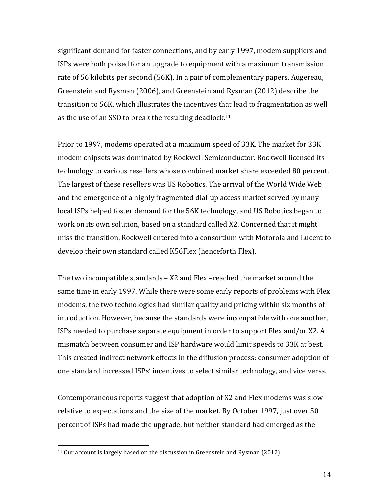significant demand for faster connections, and by early 1997, modem suppliers and ISPs were both poised for an upgrade to equipment with a maximum transmission rate of 56 kilobits per second (56K). In a pair of complementary papers, Augereau, Greenstein and Rysman (2006), and Greenstein and Rysman (2012) describe the transition to 56K, which illustrates the incentives that lead to fragmentation as well as the use of an SSO to break the resulting deadlock.<sup>11</sup>

Prior to 1997, modems operated at a maximum speed of 33K. The market for 33K. modem chipsets was dominated by Rockwell Semiconductor. Rockwell licensed its technology to various resellers whose combined market share exceeded 80 percent. The largest of these resellers was US Robotics. The arrival of the World Wide Web and the emergence of a highly fragmented dial-up access market served by many local ISPs helped foster demand for the 56K technology, and US Robotics began to work on its own solution, based on a standard called X2. Concerned that it might miss the transition, Rockwell entered into a consortium with Motorola and Lucent to develop their own standard called K56Flex (henceforth Flex).

The two incompatible standards  $-$  X2 and Flex  $-$  reached the market around the same time in early 1997. While there were some early reports of problems with Flex modems, the two technologies had similar quality and pricing within six months of introduction. However, because the standards were incompatible with one another, ISPs needed to purchase separate equipment in order to support Flex and/or X2. A mismatch between consumer and ISP hardware would limit speeds to 33K at best. This created indirect network effects in the diffusion process: consumer adoption of one standard increased ISPs' incentives to select similar technology, and vice versa.

Contemporaneous reports suggest that adoption of  $X2$  and Flex modems was slow relative to expectations and the size of the market. By October 1997, just over 50 percent of ISPs had made the upgrade, but neither standard had emerged as the

 $11$  Our account is largely based on the discussion in Greenstein and Rysman (2012)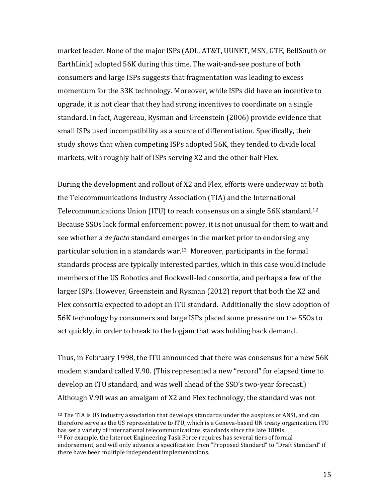market leader. None of the major ISPs (AOL, AT&T, UUNET, MSN, GTE, BellSouth or EarthLink) adopted 56K during this time. The wait-and-see posture of both consumers and large ISPs suggests that fragmentation was leading to excess momentum for the 33K technology. Moreover, while ISPs did have an incentive to upgrade, it is not clear that they had strong incentives to coordinate on a single standard. In fact, Augereau, Rysman and Greenstein (2006) provide evidence that small ISPs used incompatibility as a source of differentiation. Specifically, their study shows that when competing ISPs adopted 56K, they tended to divide local markets, with roughly half of ISPs serving X2 and the other half Flex.

During the development and rollout of X2 and Flex, efforts were underway at both the Telecommunications Industry Association (TIA) and the International Telecommunications Union (ITU) to reach consensus on a single  $56K$  standard.<sup>12</sup> Because SSOs lack formal enforcement power, it is not unusual for them to wait and see whether a *de facto* standard emerges in the market prior to endorsing any particular solution in a standards war.<sup>13</sup> Moreover, participants in the formal standards process are typically interested parties, which in this case would include members of the US Robotics and Rockwell-led consortia, and perhaps a few of the larger ISPs. However, Greenstein and Rysman (2012) report that both the X2 and Flex consortia expected to adopt an ITU standard. Additionally the slow adoption of 56K technology by consumers and large ISPs placed some pressure on the SSOs to act quickly, in order to break to the logjam that was holding back demand.

Thus, in February 1998, the ITU announced that there was consensus for a new 56K modem standard called V.90. (This represented a new "record" for elapsed time to develop an ITU standard, and was well ahead of the SSO's two-year forecast.) Although V.90 was an amalgam of X2 and Flex technology, the standard was not

<sup>12</sup> The TIA is US industry association that develops standards under the auspices of ANSI, and can therefore serve as the US representative to ITU, which is a Geneva-based UN treaty organization. ITU has set a variety of international telecommunications standards since the late 1800s.

<sup>&</sup>lt;sup>13</sup> For example, the Internet Engineering Task Force requires has several tiers of formal endorsement, and will only advance a specification from "Proposed Standard" to "Draft Standard" if there have been multiple independent implementations.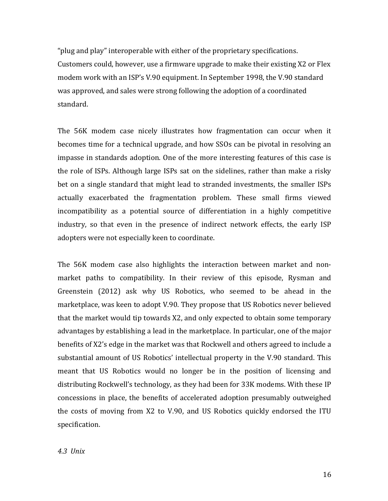"plug and play" interoperable with either of the proprietary specifications. Customers could, however, use a firmware upgrade to make their existing X2 or Flex modem work with an ISP's V.90 equipment. In September 1998, the V.90 standard was approved, and sales were strong following the adoption of a coordinated standard. 

The 56K modem case nicely illustrates how fragmentation can occur when it becomes time for a technical upgrade, and how SSOs can be pivotal in resolving an impasse in standards adoption. One of the more interesting features of this case is the role of ISPs. Although large ISPs sat on the sidelines, rather than make a risky bet on a single standard that might lead to stranded investments, the smaller ISPs actually exacerbated the fragmentation problem. These small firms viewed incompatibility as a potential source of differentiation in a highly competitive industry, so that even in the presence of indirect network effects, the early ISP adopters were not especially keen to coordinate.

The 56K modem case also highlights the interaction between market and nonmarket paths to compatibility. In their review of this episode, Rysman and Greenstein (2012) ask why US Robotics, who seemed to be ahead in the marketplace, was keen to adopt V.90. They propose that US Robotics never believed that the market would tip towards X2, and only expected to obtain some temporary advantages by establishing a lead in the marketplace. In particular, one of the major benefits of X2's edge in the market was that Rockwell and others agreed to include a substantial amount of US Robotics' intellectual property in the V.90 standard. This meant that US Robotics would no longer be in the position of licensing and distributing Rockwell's technology, as they had been for  $33K$  modems. With these IP concessions in place, the benefits of accelerated adoption presumably outweighed the costs of moving from X2 to V.90, and US Robotics quickly endorsed the ITU specification.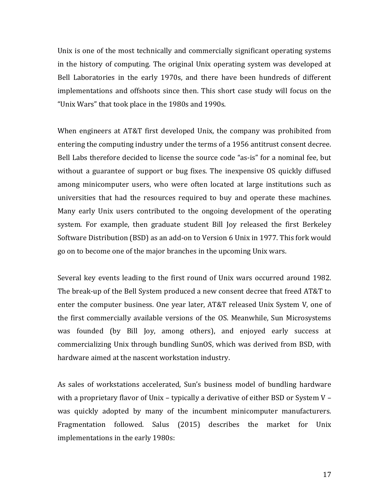Unix is one of the most technically and commercially significant operating systems in the history of computing. The original Unix operating system was developed at Bell Laboratories in the early 1970s, and there have been hundreds of different implementations and offshoots since then. This short case study will focus on the "Unix Wars" that took place in the 1980s and 1990s.

When engineers at AT&T first developed Unix, the company was prohibited from entering the computing industry under the terms of a 1956 antitrust consent decree. Bell Labs therefore decided to license the source code "as-is" for a nominal fee, but without a guarantee of support or bug fixes. The inexpensive OS quickly diffused among minicomputer users, who were often located at large institutions such as universities that had the resources required to buy and operate these machines. Many early Unix users contributed to the ongoing development of the operating system. For example, then graduate student Bill Joy released the first Berkeley Software Distribution (BSD) as an add-on to Version 6 Unix in 1977. This fork would go on to become one of the major branches in the upcoming Unix wars.

Several key events leading to the first round of Unix wars occurred around 1982. The break-up of the Bell System produced a new consent decree that freed AT&T to enter the computer business. One year later, AT&T released Unix System V, one of the first commercially available versions of the OS. Meanwhile, Sun Microsystems was founded (by Bill Joy, among others), and enjoyed early success at commercializing Unix through bundling SunOS, which was derived from BSD, with hardware aimed at the nascent workstation industry.

As sales of workstations accelerated, Sun's business model of bundling hardware with a proprietary flavor of Unix – typically a derivative of either BSD or System V – was quickly adopted by many of the incumbent minicomputer manufacturers. Fragmentation followed. Salus (2015) describes the market for Unix implementations in the early 1980s: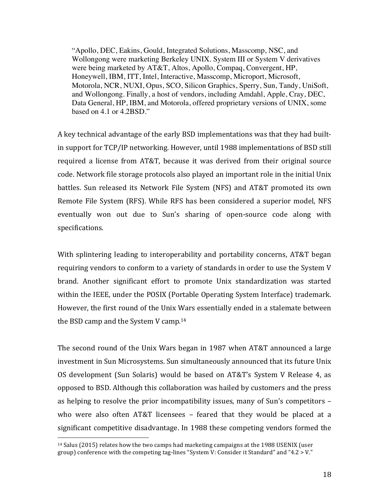"Apollo, DEC, Eakins, Gould, Integrated Solutions, Masscomp, NSC, and Wollongong were marketing Berkeley UNIX. System III or System V derivatives were being marketed by AT&T, Altos, Apollo, Compaq, Convergent, HP, Honeywell, IBM, ITT, Intel, Interactive, Masscomp, Microport, Microsoft, Motorola, NCR, NUXI, Opus, SCO, Silicon Graphics, Sperry, Sun, Tandy, UniSoft, and Wollongong. Finally, a host of vendors, including Amdahl, Apple, Cray, DEC, Data General, HP, IBM, and Motorola, offered proprietary versions of UNIX, some based on 4.1 or 4.2BSD."

A key technical advantage of the early BSD implementations was that they had builtin support for TCP/IP networking. However, until 1988 implementations of BSD still required a license from AT&T, because it was derived from their original source code. Network file storage protocols also played an important role in the initial Unix battles. Sun released its Network File System (NFS) and AT&T promoted its own Remote File System (RFS). While RFS has been considered a superior model, NFS eventually won out due to Sun's sharing of open-source code along with specifications.

With splintering leading to interoperability and portability concerns, AT&T began requiring vendors to conform to a variety of standards in order to use the System V brand. Another significant effort to promote Unix standardization was started within the IEEE, under the POSIX (Portable Operating System Interface) trademark. However, the first round of the Unix Wars essentially ended in a stalemate between the BSD camp and the System V camp.<sup>14</sup>

The second round of the Unix Wars began in 1987 when AT&T announced a large investment in Sun Microsystems. Sun simultaneously announced that its future Unix OS development (Sun Solaris) would be based on AT&T's System V Release 4, as opposed to BSD. Although this collaboration was hailed by customers and the press as helping to resolve the prior incompatibility issues, many of Sun's competitors  $$ who were also often AT&T licensees – feared that they would be placed at a significant competitive disadvantage. In 1988 these competing vendors formed the

 $14$  Salus (2015) relates how the two camps had marketing campaigns at the 1988 USENIX (user group) conference with the competing tag-lines "System V: Consider it Standard" and "4.2 > V."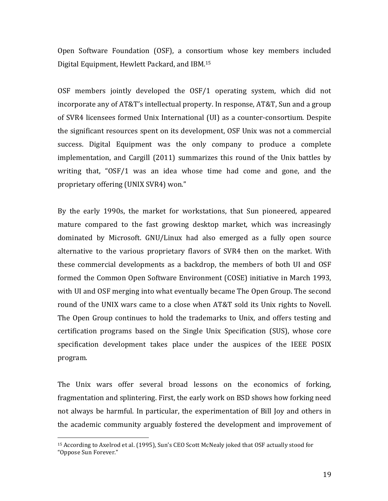Open Software Foundation (OSF), a consortium whose key members included Digital Equipment, Hewlett Packard, and IBM.<sup>15</sup>

OSF members jointly developed the OSF/1 operating system, which did not incorporate any of AT&T's intellectual property. In response, AT&T, Sun and a group of SVR4 licensees formed Unix International (UI) as a counter-consortium. Despite the significant resources spent on its development, OSF Unix was not a commercial success. Digital Equipment was the only company to produce a complete implementation, and Cargill (2011) summarizes this round of the Unix battles by writing that, " $OSF/1$  was an idea whose time had come and gone, and the proprietary offering (UNIX SVR4) won."

By the early 1990s, the market for workstations, that Sun pioneered, appeared mature compared to the fast growing desktop market, which was increasingly dominated by Microsoft. GNU/Linux had also emerged as a fully open source alternative to the various proprietary flavors of SVR4 then on the market. With these commercial developments as a backdrop, the members of both UI and OSF formed the Common Open Software Environment (COSE) initiative in March 1993, with UI and OSF merging into what eventually became The Open Group. The second round of the UNIX wars came to a close when AT&T sold its Unix rights to Novell. The Open Group continues to hold the trademarks to Unix, and offers testing and certification programs based on the Single Unix Specification (SUS), whose core specification development takes place under the auspices of the IEEE POSIX program.

The Unix wars offer several broad lessons on the economics of forking, fragmentation and splintering. First, the early work on BSD shows how forking need not always be harmful. In particular, the experimentation of Bill Joy and others in the academic community arguably fostered the development and improvement of

<sup>&</sup>lt;sup>15</sup> According to Axelrod et al. (1995), Sun's CEO Scott McNealy joked that OSF actually stood for "Oppose Sun Forever."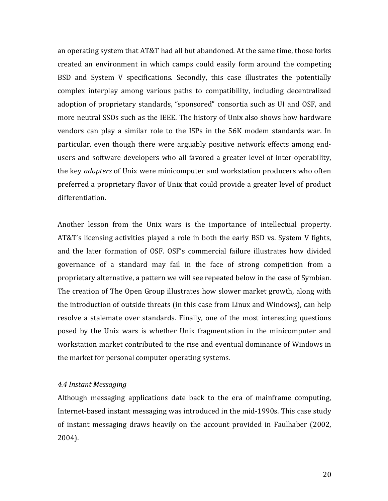an operating system that AT&T had all but abandoned. At the same time, those forks created an environment in which camps could easily form around the competing BSD and System V specifications. Secondly, this case illustrates the potentially complex interplay among various paths to compatibility, including decentralized adoption of proprietary standards, "sponsored" consortia such as UI and OSF, and more neutral SSOs such as the IEEE. The history of Unix also shows how hardware vendors can play a similar role to the ISPs in the 56K modem standards war. In particular, even though there were arguably positive network effects among endusers and software developers who all favored a greater level of inter-operability, the key *adopters* of Unix were minicomputer and workstation producers who often preferred a proprietary flavor of Unix that could provide a greater level of product differentiation. 

Another lesson from the Unix wars is the importance of intellectual property. AT&T's licensing activities played a role in both the early BSD vs. System V fights, and the later formation of OSF. OSF's commercial failure illustrates how divided governance of a standard may fail in the face of strong competition from a proprietary alternative, a pattern we will see repeated below in the case of Symbian. The creation of The Open Group illustrates how slower market growth, along with the introduction of outside threats (in this case from Linux and Windows), can help resolve a stalemate over standards. Finally, one of the most interesting questions posed by the Unix wars is whether Unix fragmentation in the minicomputer and workstation market contributed to the rise and eventual dominance of Windows in the market for personal computer operating systems.

#### *4.4 Instant Messaging*

Although messaging applications date back to the era of mainframe computing, Internet-based instant messaging was introduced in the mid-1990s. This case study of instant messaging draws heavily on the account provided in Faulhaber (2002, 2004).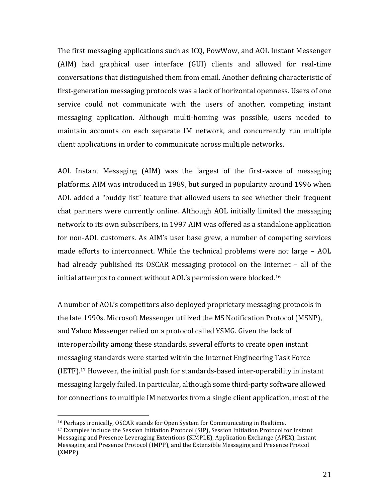The first messaging applications such as ICO, PowWow, and AOL Instant Messenger (AIM) had graphical user interface (GUI) clients and allowed for real-time conversations that distinguished them from email. Another defining characteristic of first-generation messaging protocols was a lack of horizontal openness. Users of one service could not communicate with the users of another, competing instant messaging application. Although multi-homing was possible, users needed to maintain accounts on each separate IM network, and concurrently run multiple client applications in order to communicate across multiple networks.

AOL Instant Messaging (AIM) was the largest of the first-wave of messaging platforms. AIM was introduced in 1989, but surged in popularity around 1996 when AOL added a "buddy list" feature that allowed users to see whether their frequent chat partners were currently online. Although AOL initially limited the messaging network to its own subscribers, in 1997 AIM was offered as a standalone application for non-AOL customers. As AIM's user base grew, a number of competing services made efforts to interconnect. While the technical problems were not large  $-$  AOL had already published its OSCAR messaging protocol on the Internet – all of the initial attempts to connect without AOL's permission were blocked.<sup>16</sup>

A number of AOL's competitors also deployed proprietary messaging protocols in the late 1990s. Microsoft Messenger utilized the MS Notification Protocol (MSNP), and Yahoo Messenger relied on a protocol called YSMG. Given the lack of interoperability among these standards, several efforts to create open instant messaging standards were started within the Internet Engineering Task Force (IETF).<sup>17</sup> However, the initial push for standards-based inter-operability in instant messaging largely failed. In particular, although some third-party software allowed for connections to multiple IM networks from a single client application, most of the

<sup>&</sup>lt;sup>16</sup> Perhaps ironically, OSCAR stands for Open System for Communicating in Realtime.

<sup>&</sup>lt;sup>17</sup> Examples include the Session Initiation Protocol (SIP), Session Initiation Protocol for Instant Messaging and Presence Leveraging Extentions (SIMPLE), Application Exchange (APEX), Instant Messaging and Presence Protocol (IMPP), and the Extensible Messaging and Presence Protcol (XMPP).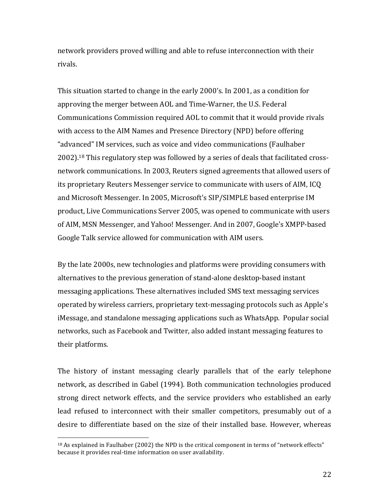network providers proved willing and able to refuse interconnection with their rivals. 

This situation started to change in the early 2000's. In 2001, as a condition for approving the merger between AOL and Time-Warner, the U.S. Federal Communications Commission required AOL to commit that it would provide rivals with access to the AIM Names and Presence Directory (NPD) before offering "advanced" IM services, such as voice and video communications (Faulhaber  $2002$ <sup>18</sup> This regulatory step was followed by a series of deals that facilitated crossnetwork communications. In 2003, Reuters signed agreements that allowed users of its proprietary Reuters Messenger service to communicate with users of AIM, ICQ and Microsoft Messenger. In 2005, Microsoft's SIP/SIMPLE based enterprise IM product, Live Communications Server 2005, was opened to communicate with users of AIM, MSN Messenger, and Yahoo! Messenger. And in 2007, Google's XMPP-based Google Talk service allowed for communication with AIM users.

By the late 2000s, new technologies and platforms were providing consumers with alternatives to the previous generation of stand-alone desktop-based instant messaging applications. These alternatives included SMS text messaging services operated by wireless carriers, proprietary text-messaging protocols such as Apple's iMessage, and standalone messaging applications such as WhatsApp. Popular social networks, such as Facebook and Twitter, also added instant messaging features to their platforms.

The history of instant messaging clearly parallels that of the early telephone network, as described in Gabel (1994). Both communication technologies produced strong direct network effects, and the service providers who established an early lead refused to interconnect with their smaller competitors, presumably out of a desire to differentiate based on the size of their installed base. However, whereas

<sup>&</sup>lt;sup>18</sup> As explained in Faulhaber (2002) the NPD is the critical component in terms of "network effects" because it provides real-time information on user availability.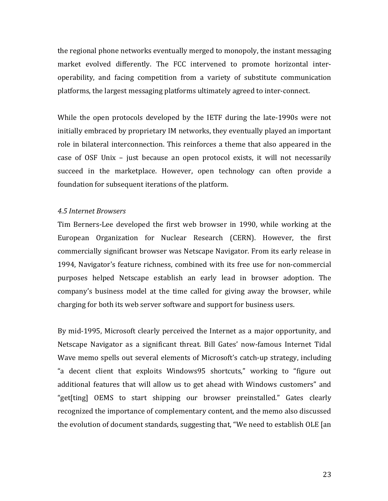the regional phone networks eventually merged to monopoly, the instant messaging market evolved differently. The FCC intervened to promote horizontal interoperability, and facing competition from a variety of substitute communication platforms, the largest messaging platforms ultimately agreed to inter-connect.

While the open protocols developed by the IETF during the late-1990s were not initially embraced by proprietary IM networks, they eventually played an important role in bilateral interconnection. This reinforces a theme that also appeared in the case of OSF Unix – just because an open protocol exists, it will not necessarily succeed in the marketplace. However, open technology can often provide a foundation for subsequent iterations of the platform.

#### *4.5 Internet Browsers*

Tim Berners-Lee developed the first web browser in 1990, while working at the European Organization for Nuclear Research (CERN). However, the first commercially significant browser was Netscape Navigator. From its early release in 1994, Navigator's feature richness, combined with its free use for non-commercial purposes helped Netscape establish an early lead in browser adoption. The company's business model at the time called for giving away the browser, while charging for both its web server software and support for business users.

By mid-1995, Microsoft clearly perceived the Internet as a major opportunity, and Netscape Navigator as a significant threat. Bill Gates' now-famous Internet Tidal Wave memo spells out several elements of Microsoft's catch-up strategy, including "a decent client that exploits Windows95 shortcuts," working to "figure out additional features that will allow us to get ahead with Windows customers" and "get[ting] OEMS to start shipping our browser preinstalled." Gates clearly recognized the importance of complementary content, and the memo also discussed the evolution of document standards, suggesting that, "We need to establish OLE [an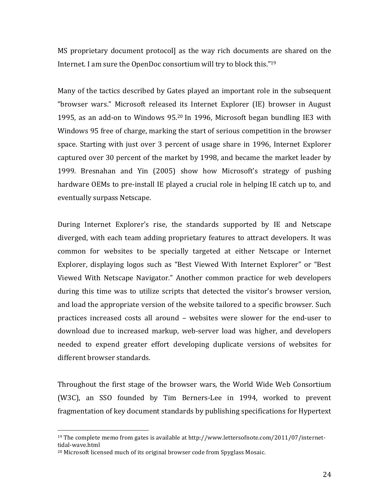MS proprietary document protocoll as the way rich documents are shared on the Internet. I am sure the OpenDoc consortium will try to block this." $19$ 

Many of the tactics described by Gates played an important role in the subsequent "browser wars." Microsoft released its Internet Explorer (IE) browser in August 1995, as an add-on to Windows 95.<sup>20</sup> In 1996, Microsoft began bundling IE3 with Windows 95 free of charge, marking the start of serious competition in the browser space. Starting with just over 3 percent of usage share in 1996, Internet Explorer captured over 30 percent of the market by 1998, and became the market leader by 1999. Bresnahan and Yin (2005) show how Microsoft's strategy of pushing hardware OEMs to pre-install IE played a crucial role in helping IE catch up to, and eventually surpass Netscape.

During Internet Explorer's rise, the standards supported by IE and Netscape diverged, with each team adding proprietary features to attract developers. It was common for websites to be specially targeted at either Netscape or Internet Explorer, displaying logos such as "Best Viewed With Internet Explorer" or "Best Viewed With Netscape Navigator." Another common practice for web developers during this time was to utilize scripts that detected the visitor's browser version, and load the appropriate version of the website tailored to a specific browser. Such practices increased costs all around – websites were slower for the end-user to download due to increased markup, web-server load was higher, and developers needed to expend greater effort developing duplicate versions of websites for different browser standards.

Throughout the first stage of the browser wars, the World Wide Web Consortium (W3C), an SSO founded by Tim Berners-Lee in 1994, worked to prevent fragmentation of key document standards by publishing specifications for Hypertext

<sup>&</sup>lt;sup>19</sup> The complete memo from gates is available at http://www.lettersofnote.com/2011/07/internettidal-wave.html

<sup>&</sup>lt;sup>20</sup> Microsoft licensed much of its original browser code from Spyglass Mosaic.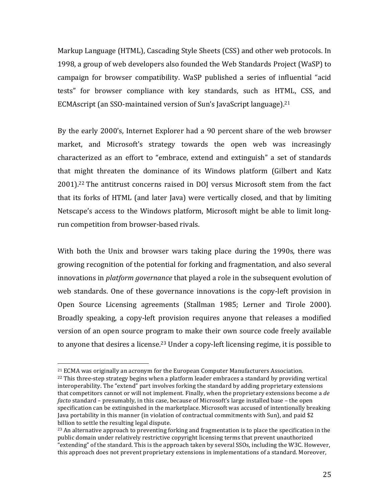Markup Language (HTML), Cascading Style Sheets (CSS) and other web protocols. In 1998, a group of web developers also founded the Web Standards Project (WaSP) to campaign for browser compatibility. WaSP published a series of influential "acid tests" for browser compliance with key standards, such as HTML, CSS, and ECMAscript (an SSO-maintained version of Sun's JavaScript language).<sup>21</sup>

By the early 2000's, Internet Explorer had a 90 percent share of the web browser market, and Microsoft's strategy towards the open web was increasingly characterized as an effort to "embrace, extend and extinguish" a set of standards that might threaten the dominance of its Windows platform (Gilbert and Katz 2001).<sup>22</sup> The antitrust concerns raised in DOJ versus Microsoft stem from the fact that its forks of HTML (and later Java) were vertically closed, and that by limiting Netscape's access to the Windows platform, Microsoft might be able to limit longrun competition from browser-based rivals.

With both the Unix and browser wars taking place during the 1990s, there was growing recognition of the potential for forking and fragmentation, and also several innovations in *platform governance* that played a role in the subsequent evolution of web standards. One of these governance innovations is the copy-left provision in Open Source Licensing agreements (Stallman 1985; Lerner and Tirole 2000). Broadly speaking, a copy-left provision requires anyone that releases a modified version of an open source program to make their own source code freely available to anyone that desires a license.<sup>23</sup> Under a copy-left licensing regime, it is possible to

 $21$  ECMA was originally an acronym for the European Computer Manufacturers Association.  $^{22}$  This three-step strategy begins when a platform leader embraces a standard by providing vertical interoperability. The "extend" part involves forking the standard by adding proprietary extensions that competitors cannot or will not implement. Finally, when the proprietary extensions become a *de facto* standard – presumably, in this case, because of Microsoft's large installed base – the open specification can be extinguished in the marketplace. Microsoft was accused of intentionally breaking Java portability in this manner (in violation of contractual commitments with Sun), and paid  $$2$ billion to settle the resulting legal dispute.

 $^{23}$  An alternative approach to preventing forking and fragmentation is to place the specification in the public domain under relatively restrictive copyright licensing terms that prevent unauthorized "extending" of the standard. This is the approach taken by several SSOs, including the W3C. However, this approach does not prevent proprietary extensions in implementations of a standard. Moreover,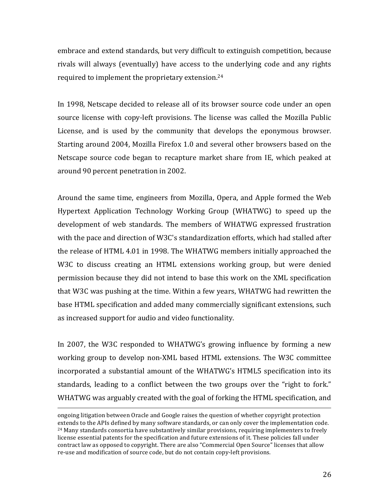embrace and extend standards, but very difficult to extinguish competition, because rivals will always (eventually) have access to the underlying code and any rights required to implement the proprietary extension.<sup>24</sup>

In 1998, Netscape decided to release all of its browser source code under an open source license with copy-left provisions. The license was called the Mozilla Public License, and is used by the community that develops the eponymous browser. Starting around 2004, Mozilla Firefox 1.0 and several other browsers based on the Netscape source code began to recapture market share from IE, which peaked at around 90 percent penetration in 2002.

Around the same time, engineers from Mozilla, Opera, and Apple formed the Web Hypertext Application Technology Working Group (WHATWG) to speed up the development of web standards. The members of WHATWG expressed frustration with the pace and direction of W3C's standardization efforts, which had stalled after the release of HTML 4.01 in 1998. The WHATWG members initially approached the W3C to discuss creating an HTML extensions working group, but were denied permission because they did not intend to base this work on the XML specification that W3C was pushing at the time. Within a few years, WHATWG had rewritten the base HTML specification and added many commercially significant extensions, such as increased support for audio and video functionality.

In 2007, the W3C responded to WHATWG's growing influence by forming a new working group to develop non-XML based HTML extensions. The W3C committee incorporated a substantial amount of the WHATWG's HTML5 specification into its standards, leading to a conflict between the two groups over the "right to fork." WHATWG was arguably created with the goal of forking the HTML specification, and

<u> 1989 - Andrea San Andrew Maria (h. 1989).</u><br>1900 - Andrew Maria (h. 1980).

ongoing litigation between Oracle and Google raises the question of whether copyright protection extends to the APIs defined by many software standards, or can only cover the implementation code.  $24$  Many standards consortia have substantively similar provisions, requiring implementers to freely license essential patents for the specification and future extensions of it. These policies fall under contract law as opposed to copyright. There are also "Commercial Open Source" licenses that allow re-use and modification of source code, but do not contain copy-left provisions.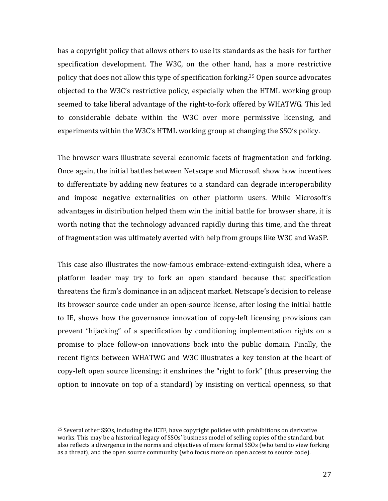has a copyright policy that allows others to use its standards as the basis for further specification development. The W3C, on the other hand, has a more restrictive policy that does not allow this type of specification forking.<sup>25</sup> Open source advocates objected to the W3C's restrictive policy, especially when the HTML working group seemed to take liberal advantage of the right-to-fork offered by WHATWG. This led to considerable debate within the W3C over more permissive licensing, and experiments within the W3C's HTML working group at changing the SSO's policy.

The browser wars illustrate several economic facets of fragmentation and forking. Once again, the initial battles between Netscape and Microsoft show how incentives to differentiate by adding new features to a standard can degrade interoperability and impose negative externalities on other platform users. While Microsoft's advantages in distribution helped them win the initial battle for browser share, it is worth noting that the technology advanced rapidly during this time, and the threat of fragmentation was ultimately averted with help from groups like W3C and WaSP.

This case also illustrates the now-famous embrace-extend-extinguish idea, where a platform leader may try to fork an open standard because that specification threatens the firm's dominance in an adjacent market. Netscape's decision to release its browser source code under an open-source license, after losing the initial battle to IE, shows how the governance innovation of copy-left licensing provisions can prevent "hijacking" of a specification by conditioning implementation rights on a promise to place follow-on innovations back into the public domain. Finally, the recent fights between WHATWG and W3C illustrates a key tension at the heart of copy-left open source licensing: it enshrines the "right to fork" (thus preserving the option to innovate on top of a standard) by insisting on vertical openness, so that

 $25$  Several other SSOs, including the IETF, have copyright policies with prohibitions on derivative works. This may be a historical legacy of SSOs' business model of selling copies of the standard, but also reflects a divergence in the norms and objectives of more formal SSOs (who tend to view forking as a threat), and the open source community (who focus more on open access to source code).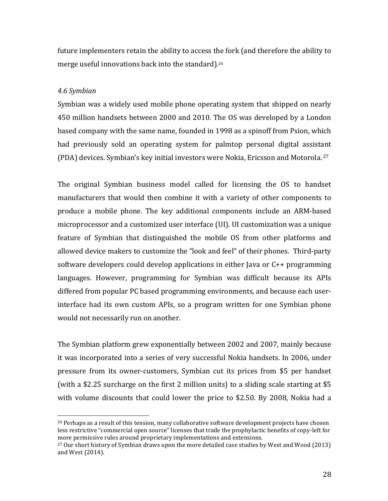future implementers retain the ability to access the fork (and therefore the ability to merge useful innovations back into the standard).<sup>26</sup>

## *4.6 Symbian*

 

Symbian was a widely used mobile phone operating system that shipped on nearly 450 million handsets between 2000 and 2010. The OS was developed by a London based company with the same name, founded in 1998 as a spinoff from Psion, which had previously sold an operating system for palmtop personal digital assistant (PDA) devices. Symbian's key initial investors were Nokia, Ericsson and Motorola.  $27$ 

The original Symbian business model called for licensing the OS to handset manufacturers that would then combine it with a variety of other components to produce a mobile phone. The key additional components include an ARM-based microprocessor and a customized user interface (UI). UI customization was a unique feature of Symbian that distinguished the mobile OS from other platforms and allowed device makers to customize the "look and feel" of their phones. Third-party software developers could develop applications in either Java or  $C_{++}$  programming languages. However, programming for Symbian was difficult because its APIs differed from popular PC based programming environments, and because each userinterface had its own custom APIs, so a program written for one Symbian phone would not necessarily run on another.

The Symbian platform grew exponentially between 2002 and 2007, mainly because it was incorporated into a series of very successful Nokia handsets. In 2006, under pressure from its owner-customers, Symbian cut its prices from \$5 per handset (with a \$2.25 surcharge on the first 2 million units) to a sliding scale starting at \$5 with volume discounts that could lower the price to \$2.50. By 2008, Nokia had a

<sup>&</sup>lt;sup>26</sup> Perhaps as a result of this tension, many collaborative software development projects have chosen less restrictive "commercial open source" licenses that trade the prophylactic benefits of copy-left for more permissive rules around proprietary implementations and extensions.

 $27$  Our short history of Symbian draws upon the more detailed case studies by West and Wood (2013) and West (2014).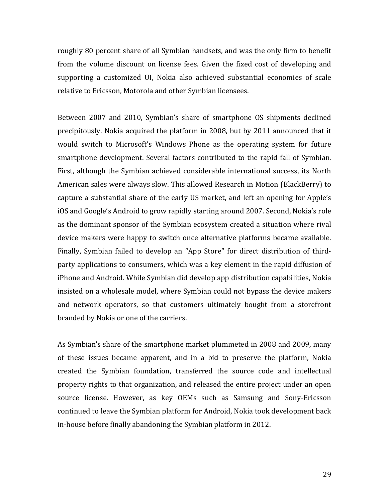roughly 80 percent share of all Symbian handsets, and was the only firm to benefit from the volume discount on license fees. Given the fixed cost of developing and supporting a customized UI, Nokia also achieved substantial economies of scale relative to Ericsson, Motorola and other Symbian licensees.

Between 2007 and 2010, Symbian's share of smartphone OS shipments declined precipitously. Nokia acquired the platform in 2008, but by 2011 announced that it would switch to Microsoft's Windows Phone as the operating system for future smartphone development. Several factors contributed to the rapid fall of Symbian. First, although the Symbian achieved considerable international success, its North American sales were always slow. This allowed Research in Motion (BlackBerry) to capture a substantial share of the early US market, and left an opening for Apple's iOS and Google's Android to grow rapidly starting around 2007. Second, Nokia's role as the dominant sponsor of the Symbian ecosystem created a situation where rival device makers were happy to switch once alternative platforms became available. Finally, Symbian failed to develop an "App Store" for direct distribution of thirdparty applications to consumers, which was a key element in the rapid diffusion of iPhone and Android. While Symbian did develop app distribution capabilities, Nokia insisted on a wholesale model, where Symbian could not bypass the device makers and network operators, so that customers ultimately bought from a storefront branded by Nokia or one of the carriers.

As Symbian's share of the smartphone market plummeted in 2008 and 2009, many of these issues became apparent, and in a bid to preserve the platform, Nokia created the Symbian foundation, transferred the source code and intellectual property rights to that organization, and released the entire project under an open source license. However, as key OEMs such as Samsung and Sony-Ericsson continued to leave the Symbian platform for Android, Nokia took development back in-house before finally abandoning the Symbian platform in 2012.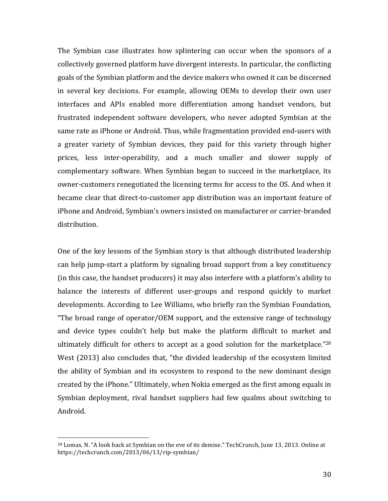The Symbian case illustrates how splintering can occur when the sponsors of a collectively governed platform have divergent interests. In particular, the conflicting goals of the Symbian platform and the device makers who owned it can be discerned in several key decisions. For example, allowing OEMs to develop their own user interfaces and APIs enabled more differentiation among handset vendors, but frustrated independent software developers, who never adopted Symbian at the same rate as iPhone or Android. Thus, while fragmentation provided end-users with a greater variety of Symbian devices, they paid for this variety through higher prices, less inter-operability, and a much smaller and slower supply of complementary software. When Symbian began to succeed in the marketplace, its owner-customers renegotiated the licensing terms for access to the OS. And when it became clear that direct-to-customer app distribution was an important feature of iPhone and Android, Symbian's owners insisted on manufacturer or carrier-branded distribution. 

One of the key lessons of the Symbian story is that although distributed leadership can help jump-start a platform by signaling broad support from a key constituency (in this case, the handset producers) it may also interfere with a platform's ability to balance the interests of different user-groups and respond quickly to market developments. According to Lee Williams, who briefly ran the Symbian Foundation, "The broad range of operator/OEM support, and the extensive range of technology and device types couldn't help but make the platform difficult to market and ultimately difficult for others to accept as a good solution for the marketplace."28 West (2013) also concludes that, "the divided leadership of the ecosystem limited the ability of Symbian and its ecosystem to respond to the new dominant design created by the iPhone." Ultimately, when Nokia emerged as the first among equals in Symbian deployment, rival handset suppliers had few qualms about switching to Android. 

<sup>&</sup>lt;sup>28</sup> Lomas, N. "A look back at Symbian on the eve of its demise." TechCrunch, June 13, 2013. Online at https://techcrunch.com/2013/06/13/rip-symbian/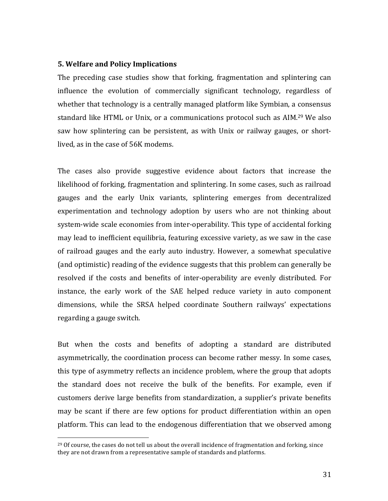#### **5. Welfare and Policy Implications**

 

The preceding case studies show that forking, fragmentation and splintering can influence the evolution of commercially significant technology, regardless of whether that technology is a centrally managed platform like Symbian, a consensus standard like HTML or Unix, or a communications protocol such as AIM.<sup>29</sup> We also saw how splintering can be persistent, as with Unix or railway gauges, or shortlived, as in the case of 56K modems.

The cases also provide suggestive evidence about factors that increase the likelihood of forking, fragmentation and splintering. In some cases, such as railroad gauges and the early Unix variants, splintering emerges from decentralized experimentation and technology adoption by users who are not thinking about system-wide scale economies from inter-operability. This type of accidental forking may lead to inefficient equilibria, featuring excessive variety, as we saw in the case of railroad gauges and the early auto industry. However, a somewhat speculative (and optimistic) reading of the evidence suggests that this problem can generally be resolved if the costs and benefits of inter-operability are evenly distributed. For instance, the early work of the SAE helped reduce variety in auto component dimensions, while the SRSA helped coordinate Southern railways' expectations regarding a gauge switch.

But when the costs and benefits of adopting a standard are distributed asymmetrically, the coordination process can become rather messy. In some cases, this type of asymmetry reflects an incidence problem, where the group that adopts the standard does not receive the bulk of the benefits. For example, even if customers derive large benefits from standardization, a supplier's private benefits may be scant if there are few options for product differentiation within an open platform. This can lead to the endogenous differentiation that we observed among

 $^{29}$  Of course, the cases do not tell us about the overall incidence of fragmentation and forking, since they are not drawn from a representative sample of standards and platforms.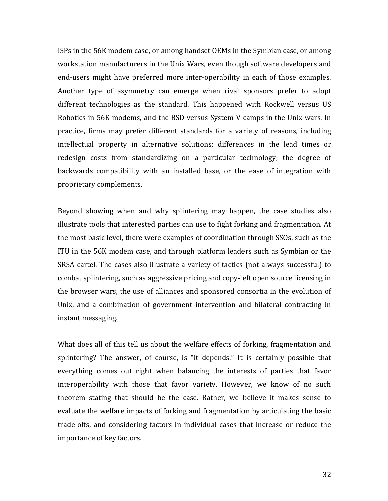ISPs in the 56K modem case, or among handset OEMs in the Symbian case, or among workstation manufacturers in the Unix Wars, even though software developers and end-users might have preferred more inter-operability in each of those examples. Another type of asymmetry can emerge when rival sponsors prefer to adopt different technologies as the standard. This happened with Rockwell versus US Robotics in 56K modems, and the BSD versus System V camps in the Unix wars. In practice, firms may prefer different standards for a variety of reasons, including intellectual property in alternative solutions; differences in the lead times or redesign costs from standardizing on a particular technology; the degree of backwards compatibility with an installed base, or the ease of integration with proprietary complements.

Beyond showing when and why splintering may happen, the case studies also illustrate tools that interested parties can use to fight forking and fragmentation. At the most basic level, there were examples of coordination through SSOs, such as the ITU in the 56K modem case, and through platform leaders such as Symbian or the SRSA cartel. The cases also illustrate a variety of tactics (not always successful) to combat splintering, such as aggressive pricing and copy-left open source licensing in the browser wars, the use of alliances and sponsored consortia in the evolution of Unix, and a combination of government intervention and bilateral contracting in instant messaging.

What does all of this tell us about the welfare effects of forking, fragmentation and splintering? The answer, of course, is "it depends." It is certainly possible that everything comes out right when balancing the interests of parties that favor interoperability with those that favor variety. However, we know of no such theorem stating that should be the case. Rather, we believe it makes sense to evaluate the welfare impacts of forking and fragmentation by articulating the basic trade-offs, and considering factors in individual cases that increase or reduce the importance of key factors.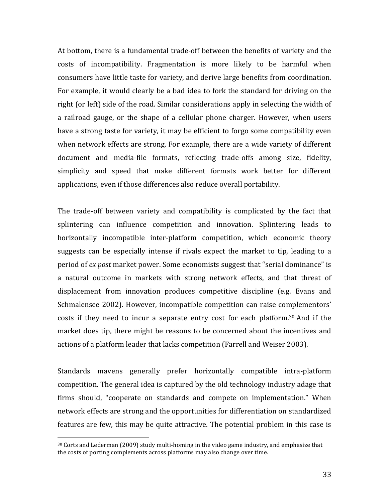At bottom, there is a fundamental trade-off between the benefits of variety and the costs of incompatibility. Fragmentation is more likely to be harmful when consumers have little taste for variety, and derive large benefits from coordination. For example, it would clearly be a bad idea to fork the standard for driving on the right (or left) side of the road. Similar considerations apply in selecting the width of a railroad gauge, or the shape of a cellular phone charger. However, when users have a strong taste for variety, it may be efficient to forgo some compatibility even when network effects are strong. For example, there are a wide variety of different document and media-file formats, reflecting trade-offs among size, fidelity, simplicity and speed that make different formats work better for different applications, even if those differences also reduce overall portability.

The trade-off between variety and compatibility is complicated by the fact that splintering can influence competition and innovation. Splintering leads to horizontally incompatible inter-platform competition, which economic theory suggests can be especially intense if rivals expect the market to tip, leading to a period of *ex post* market power. Some economists suggest that "serial dominance" is a natural outcome in markets with strong network effects, and that threat of displacement from innovation produces competitive discipline (e.g. Evans and Schmalensee 2002). However, incompatible competition can raise complementors' costs if they need to incur a separate entry cost for each platform.<sup>30</sup> And if the market does tip, there might be reasons to be concerned about the incentives and actions of a platform leader that lacks competition (Farrell and Weiser 2003).

Standards mavens generally prefer horizontally compatible intra-platform competition. The general idea is captured by the old technology industry adage that firms should, "cooperate on standards and compete on implementation." When network effects are strong and the opportunities for differentiation on standardized features are few, this may be quite attractive. The potential problem in this case is

 $30$  Corts and Lederman (2009) study multi-homing in the video game industry, and emphasize that the costs of porting complements across platforms may also change over time.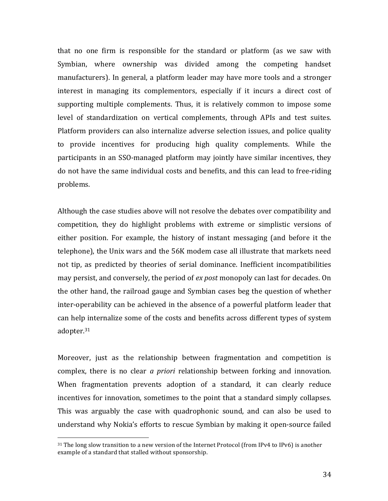that no one firm is responsible for the standard or platform (as we saw with Symbian, where ownership was divided among the competing handset manufacturers). In general, a platform leader may have more tools and a stronger interest in managing its complementors, especially if it incurs a direct cost of supporting multiple complements. Thus, it is relatively common to impose some level of standardization on vertical complements, through APIs and test suites. Platform providers can also internalize adverse selection issues, and police quality to provide incentives for producing high quality complements. While the participants in an SSO-managed platform may jointly have similar incentives, they do not have the same individual costs and benefits, and this can lead to free-riding problems.

Although the case studies above will not resolve the debates over compatibility and competition, they do highlight problems with extreme or simplistic versions of either position. For example, the history of instant messaging (and before it the telephone), the Unix wars and the 56K modem case all illustrate that markets need not tip, as predicted by theories of serial dominance. Inefficient incompatibilities may persist, and conversely, the period of *ex post* monopoly can last for decades. On the other hand, the railroad gauge and Symbian cases beg the question of whether inter-operability can be achieved in the absence of a powerful platform leader that can help internalize some of the costs and benefits across different types of system adopter.31

Moreover, just as the relationship between fragmentation and competition is complex, there is no clear *a priori* relationship between forking and innovation. When fragmentation prevents adoption of a standard, it can clearly reduce incentives for innovation, sometimes to the point that a standard simply collapses. This was arguably the case with quadrophonic sound, and can also be used to understand why Nokia's efforts to rescue Symbian by making it open-source failed

 $31$  The long slow transition to a new version of the Internet Protocol (from IPv4 to IPv6) is another example of a standard that stalled without sponsorship.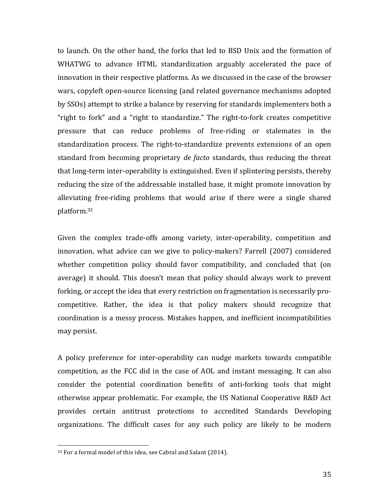to launch. On the other hand, the forks that led to BSD Unix and the formation of WHATWG to advance HTML standardization arguably accelerated the pace of innovation in their respective platforms. As we discussed in the case of the browser wars, copyleft open-source licensing (and related governance mechanisms adopted by SSOs) attempt to strike a balance by reserving for standards implementers both a "right to fork" and a "right to standardize." The right-to-fork creates competitive pressure that can reduce problems of free-riding or stalemates in the standardization process. The right-to-standardize prevents extensions of an open standard from becoming proprietary *de facto* standards, thus reducing the threat that long-term inter-operability is extinguished. Even if splintering persists, thereby reducing the size of the addressable installed base, it might promote innovation by alleviating free-riding problems that would arise if there were a single shared platform.32

Given the complex trade-offs among variety, inter-operability, competition and innovation, what advice can we give to policy-makers? Farrell (2007) considered whether competition policy should favor compatibility, and concluded that (on average) it should. This doesn't mean that policy should always work to prevent forking, or accept the idea that every restriction on fragmentation is necessarily procompetitive. Rather, the idea is that policy makers should recognize that coordination is a messy process. Mistakes happen, and inefficient incompatibilities may persist. 

A policy preference for inter-operability can nudge markets towards compatible competition, as the FCC did in the case of AOL and instant messaging. It can also consider the potential coordination benefits of anti-forking tools that might otherwise appear problematic. For example, the US National Cooperative R&D Act provides certain antitrust protections to accredited Standards Developing organizations. The difficult cases for any such policy are likely to be modern

<sup>&</sup>lt;sup>32</sup> For a formal model of this idea, see Cabral and Salant (2014).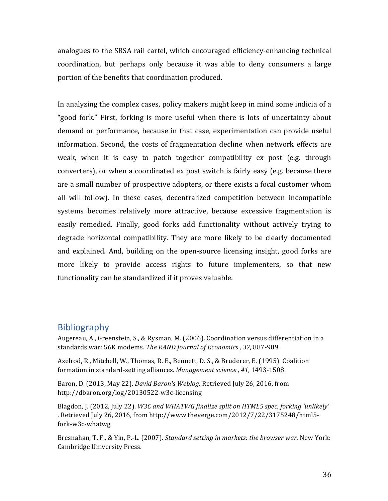analogues to the SRSA rail cartel, which encouraged efficiency-enhancing technical coordination, but perhaps only because it was able to deny consumers a large portion of the benefits that coordination produced.

In analyzing the complex cases, policy makers might keep in mind some indicia of a "good fork." First, forking is more useful when there is lots of uncertainty about demand or performance, because in that case, experimentation can provide useful information. Second, the costs of fragmentation decline when network effects are weak, when it is easy to patch together compatibility ex post (e.g. through converters), or when a coordinated ex post switch is fairly easy (e.g. because there are a small number of prospective adopters, or there exists a focal customer whom all will follow). In these cases, decentralized competition between incompatible systems becomes relatively more attractive, because excessive fragmentation is easily remedied. Finally, good forks add functionality without actively trying to degrade horizontal compatibility. They are more likely to be clearly documented and explained. And, building on the open-source licensing insight, good forks are more likely to provide access rights to future implementers, so that new functionality can be standardized if it proves valuable.

# Bibliography

Augereau, A., Greenstein, S., & Rysman, M. (2006). Coordination versus differentiation in a standards war: 56K modems. The RAND Journal of Economics, 37, 887-909.

Axelrod, R., Mitchell, W., Thomas, R. E., Bennett, D. S., & Bruderer, E. (1995). Coalition formation in standard-setting alliances. Management science, 41, 1493-1508.

Baron, D. (2013, May 22). *David Baron's Weblog*. Retrieved July 26, 2016, from http://dbaron.org/log/20130522-w3c-licensing

Blagdon, J. (2012, July 22). *W3C* and WHATWG finalize split on HTML5 spec, forking 'unlikely' . Retrieved July 26, 2016, from http://www.theverge.com/2012/7/22/3175248/html5fork-w3c-whatwg

Bresnahan, T. F., & Yin, P.-L. (2007). *Standard setting in markets: the browser war.* New York: Cambridge University Press.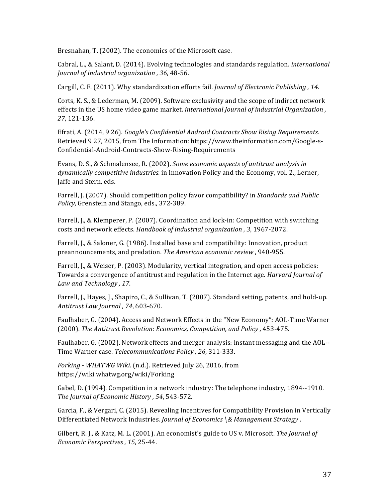Bresnahan, T. (2002). The economics of the Microsoft case.

Cabral, L., & Salant, D. (2014). Evolving technologies and standards regulation. *international Journal of industrial organization*, 36, 48-56.

Cargill, C. F. (2011). Why standardization efforts fail. *Journal of Electronic Publishing*, 14.

Corts, K. S., & Lederman, M. (2009). Software exclusivity and the scope of indirect network effects in the US home video game market. *international Journal of industrial Organization* , *27*, 121-136.

Efrati, A. (2014, 9 26). *Google's Confidential Android Contracts Show Rising Requirements.* Retrieved 9 27, 2015, from The Information: https://www.theinformation.com/Google-s-Confidential-Android-Contracts-Show-Rising-Requirements

Evans, D. S., & Schmalensee, R. (2002). *Some economic aspects of antitrust analysis in dynamically competitive industries.* in Innovation Policy and the Economy, vol. 2., Lerner, Jaffe and Stern, eds.

Farrell, J. (2007). Should competition policy favor compatibility? in *Standards and Public* Policy, Grenstein and Stango, eds., 372-389.

Farrell, J., & Klemperer, P. (2007). Coordination and lock-in: Competition with switching costs and network effects. *Handbook of industrial organization* , 3, 1967-2072.

Farrell, J., & Saloner, G. (1986). Installed base and compatibility: Innovation, product preannouncements, and predation. *The American economic review* , 940-955.

Farrell, J., & Weiser, P. (2003). Modularity, vertical integration, and open access policies: Towards a convergence of antitrust and regulation in the Internet age. *Harvard Journal of* Law and Technology, 17.

Farrell, J., Hayes, J., Shapiro, C., & Sullivan, T. (2007). Standard setting, patents, and hold-up. *Antitrust Law Journal , 74*, 603-670.

Faulhaber, G. (2004). Access and Network Effects in the "New Economy": AOL-Time Warner (2000). *The Antitrust Revolution: Economics, Competition, and Policy*, 453-475.

Faulhaber, G. (2002). Network effects and merger analysis: instant messaging and the AOL--Time Warner case. Telecommunications Policy , 26, 311-333.

*Forking* - WHATWG Wiki. (n.d.). Retrieved July 26, 2016, from https://wiki.whatwg.org/wiki/Forking

Gabel, D. (1994). Competition in a network industry: The telephone industry, 1894--1910. *The Journal of Economic History* , 54, 543-572.

Garcia, F., & Vergari, C. (2015). Revealing Incentives for Compatibility Provision in Vertically Differentiated Network Industries. *Journal of Economics* \& Management Strategy .

Gilbert, R. J., & Katz, M. L. (2001). An economist's guide to US v. Microsoft. The *Journal of Economic Perspectives*, 15, 25-44.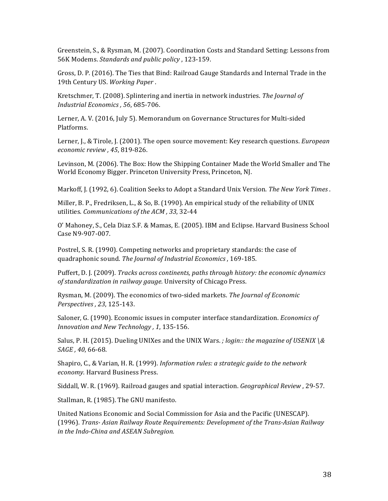Greenstein, S., & Rysman, M. (2007). Coordination Costs and Standard Setting: Lessons from 56K Modems. *Standards and public policy*, 123-159.

Gross, D. P. (2016). The Ties that Bind: Railroad Gauge Standards and Internal Trade in the 19th Century US. Working Paper.

Kretschmer, T. (2008). Splintering and inertia in network industries. The Journal of *Industrial Economics*, 56, 685-706.

Lerner, A. V. (2016, July 5). Memorandum on Governance Structures for Multi-sided Platforms.

Lerner, J., & Tirole, J. (2001). The open source movement: Key research questions. *European economic review , 45*, 819-826.

Levinson, M. (2006). The Box: How the Shipping Container Made the World Smaller and The World Economy Bigger. Princeton University Press, Princeton, NJ.

Markoff, J. (1992, 6). Coalition Seeks to Adopt a Standard Unix Version. The New York Times.

Miller, B. P., Fredriksen, L., & So, B. (1990). An empirical study of the reliability of UNIX utilities. *Communications of the ACM , 33*, 32-44

O' Mahoney, S., Cela Diaz S.F. & Mamas, E. (2005). IBM and Eclipse. Harvard Business School Case N9-907-007.

Postrel, S. R. (1990). Competing networks and proprietary standards: the case of quadraphonic sound. The *Journal of Industrial Economics*, 169-185.

Puffert, D. J. (2009). *Tracks across continents, paths through history: the economic dynamics* of standardization in railway gauge. University of Chicago Press.

Rysman, M. (2009). The economics of two-sided markets. *The Journal of Economic Perspectives , 23*, 125-143.

Saloner, G. (1990). Economic issues in computer interface standardization. *Economics of Innovation and New Technology* , 1, 135-156.

Salus, P. H. (2015). Dueling UNIXes and the UNIX Wars. *;* login:: the magazine of USENIX \& *SAGE* , 40, 66-68.

Shapiro, C., & Varian, H. R. (1999). *Information rules: a strategic guide to the network economy.* Harvard Business Press.

Siddall, W. R. (1969). Railroad gauges and spatial interaction. *Geographical Review*, 29-57.

Stallman, R. (1985). The GNU manifesto.

United Nations Economic and Social Commission for Asia and the Pacific (UNESCAP). (1996). *Trans- Asian Railway Route Requirements: Development of the Trans-Asian Railway*  in the Indo-China and ASEAN Subregion.